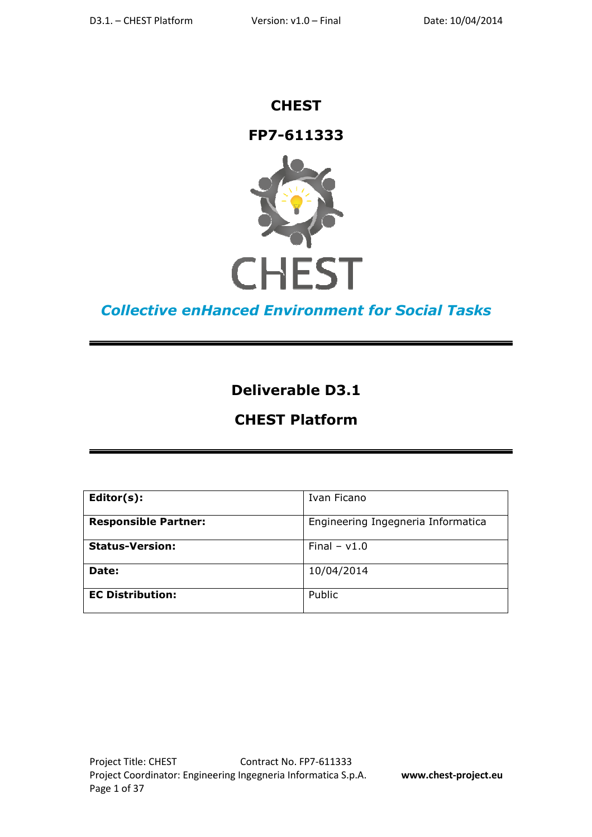## **CHEST**

## **FP7-611333**



# **Collective enHanced Environment for Social Tasks**

# **Deliverable D3.1**

# **CHEST Platform**

| $Editor(s)$ :               | Ivan Ficano                        |
|-----------------------------|------------------------------------|
| <b>Responsible Partner:</b> | Engineering Ingegneria Informatica |
| <b>Status-Version:</b>      | Final $- v1.0$                     |
| Date:                       | 10/04/2014                         |
| <b>EC Distribution:</b>     | Public                             |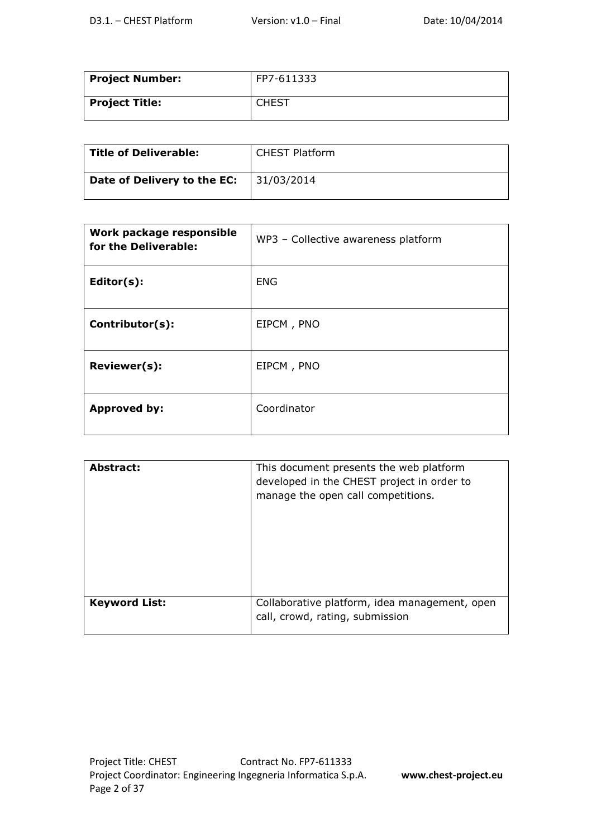| <b>Project Number:</b> | FP7-611333 |
|------------------------|------------|
| Project Title:         | CHEST      |

| Title of Deliverable:       | <b>CHEST Platform</b> |
|-----------------------------|-----------------------|
| Date of Delivery to the EC: | 31/03/2014            |

| Work package responsible<br>for the Deliverable: | WP3 - Collective awareness platform |
|--------------------------------------------------|-------------------------------------|
| Editor(s):                                       | <b>ENG</b>                          |
| Contributor(s):                                  | EIPCM, PNO                          |
| Reviewer(s):                                     | EIPCM, PNO                          |
| <b>Approved by:</b>                              | Coordinator                         |

| Abstract:            | This document presents the web platform<br>developed in the CHEST project in order to<br>manage the open call competitions. |
|----------------------|-----------------------------------------------------------------------------------------------------------------------------|
| <b>Keyword List:</b> | Collaborative platform, idea management, open<br>call, crowd, rating, submission                                            |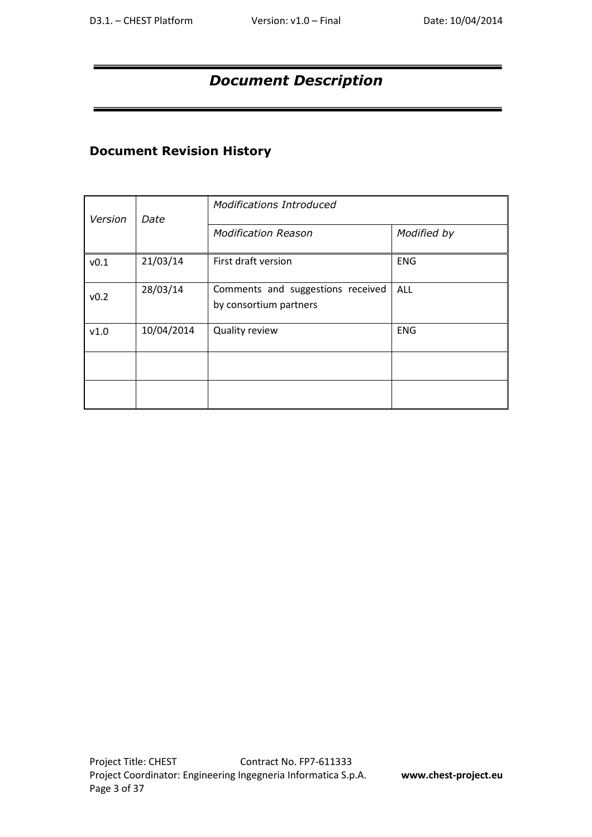# *Document Description*

## **Document Revision History**

| Version<br>Date |            | <b>Modifications Introduced</b>                             |             |  |
|-----------------|------------|-------------------------------------------------------------|-------------|--|
|                 |            | <b>Modification Reason</b>                                  | Modified by |  |
| v0.1            | 21/03/14   | First draft version                                         | <b>ENG</b>  |  |
| v0.2            | 28/03/14   | Comments and suggestions received<br>by consortium partners | <b>ALL</b>  |  |
| v1.0            | 10/04/2014 | Quality review                                              | <b>ENG</b>  |  |
|                 |            |                                                             |             |  |
|                 |            |                                                             |             |  |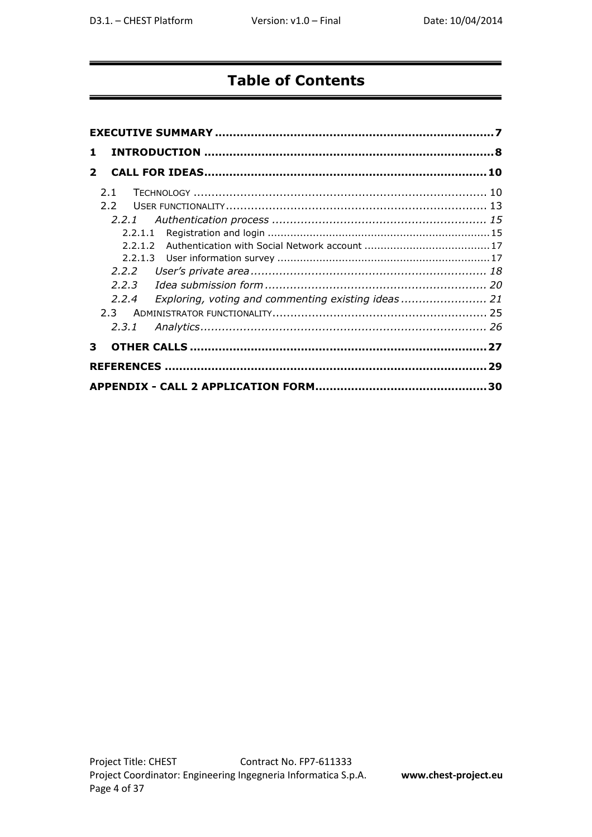# **Table of Contents**

| 1.                                                       |    |
|----------------------------------------------------------|----|
| $\mathbf{z}$                                             |    |
| 2.1                                                      |    |
| $2.2^{\circ}$                                            |    |
| 2.2.1                                                    |    |
|                                                          |    |
|                                                          |    |
|                                                          |    |
| 2.2.2                                                    |    |
| 2.2.3                                                    |    |
| Exploring, voting and commenting existing ideas<br>2.2.4 |    |
| $2.3 -$                                                  |    |
| 2.3.1                                                    |    |
| 3                                                        |    |
|                                                          | 29 |
|                                                          |    |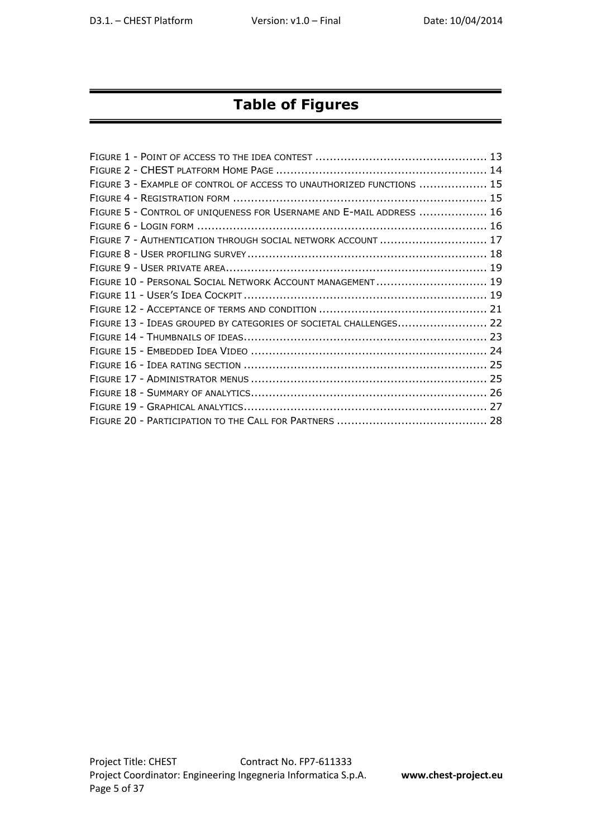# **Table of Figures**

| FIGURE 3 - EXAMPLE OF CONTROL OF ACCESS TO UNAUTHORIZED FUNCTIONS  15 |  |
|-----------------------------------------------------------------------|--|
|                                                                       |  |
| FIGURE 5 - CONTROL OF UNIQUENESS FOR USERNAME AND E-MAIL ADDRESS  16  |  |
|                                                                       |  |
| FIGURE 7 - AUTHENTICATION THROUGH SOCIAL NETWORK ACCOUNT  17          |  |
|                                                                       |  |
|                                                                       |  |
| FIGURE 10 - PERSONAL SOCIAL NETWORK ACCOUNT MANAGEMENT 19             |  |
|                                                                       |  |
|                                                                       |  |
| FIGURE 13 - IDEAS GROUPED BY CATEGORIES OF SOCIETAL CHALLENGES 22     |  |
|                                                                       |  |
|                                                                       |  |
|                                                                       |  |
|                                                                       |  |
|                                                                       |  |
|                                                                       |  |
|                                                                       |  |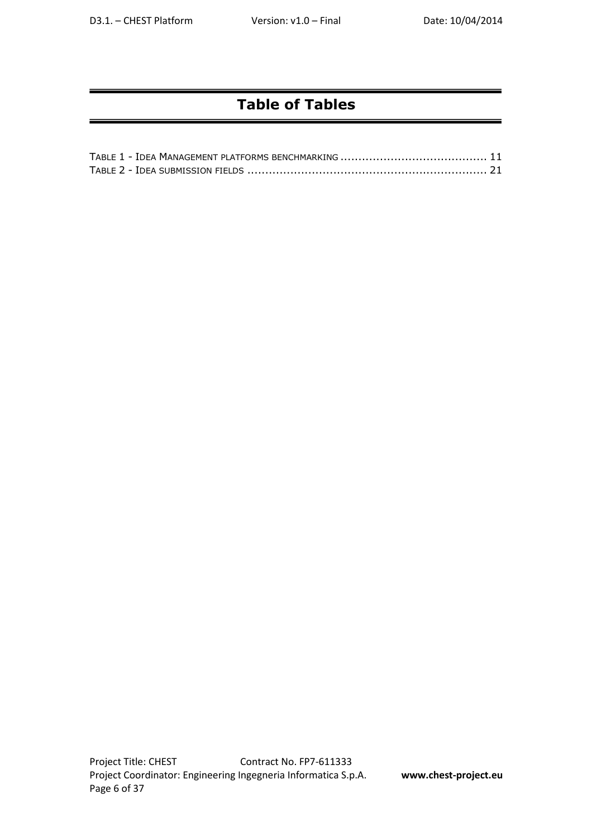# **Table of Tables**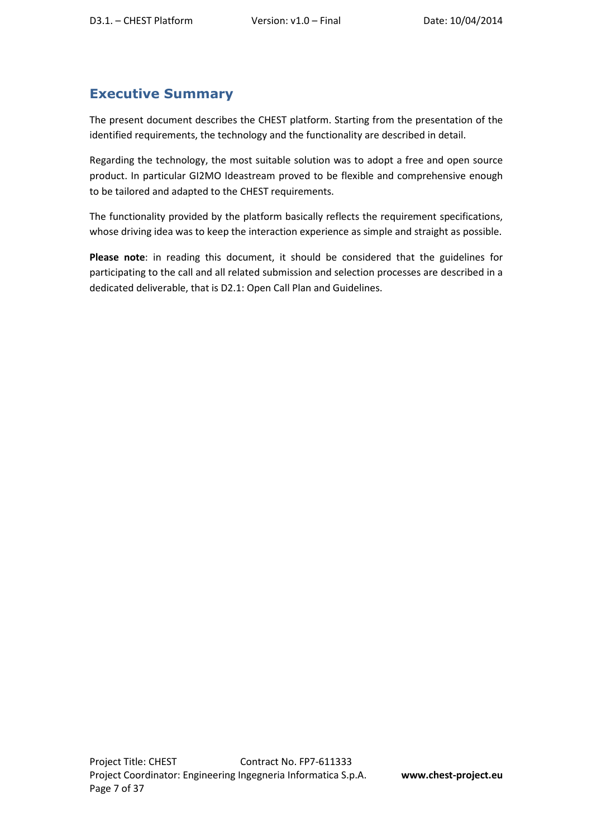## **Executive Summary**

The present document describes the CHEST platform. Starting from the presentation of the identified requirements, the technology and the functionality are described in detail.

Regarding the technology, the most suitable solution was to adopt a free and open source product. In particular GI2MO Ideastream proved to be flexible and comprehensive enough to be tailored and adapted to the CHEST requirements.

The functionality provided by the platform basically reflects the requirement specifications, whose driving idea was to keep the interaction experience as simple and straight as possible.

**Please note**: in reading this document, it should be considered that the guidelines for participating to the call and all related submission and selection processes are described in a dedicated deliverable, that is D2.1: Open Call Plan and Guidelines.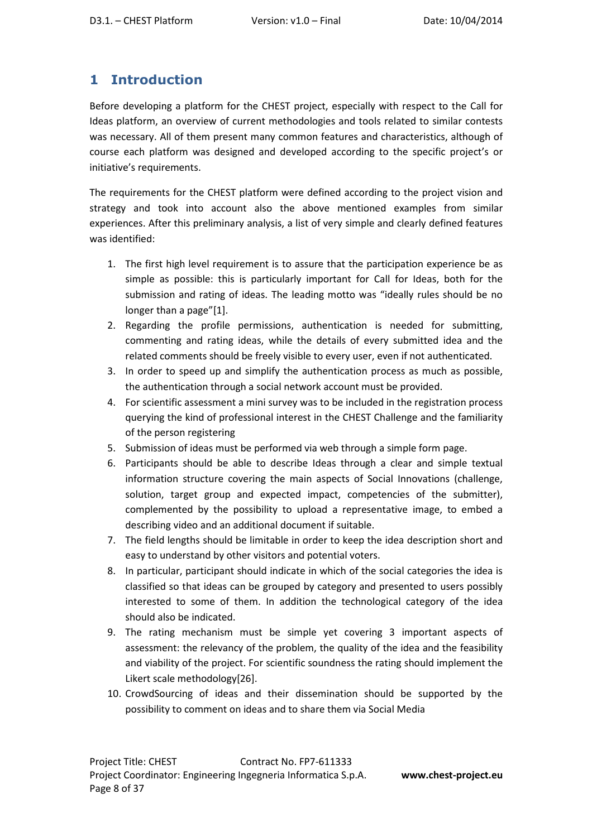## **1 Introduction**

Before developing a platform for the CHEST project, especially with respect to the Call for Ideas platform, an overview of current methodologies and tools related to similar contests was necessary. All of them present many common features and characteristics, although of course each platform was designed and developed according to the specific project's or initiative's requirements.

The requirements for the CHEST platform were defined according to the project vision and strategy and took into account also the above mentioned examples from similar experiences. After this preliminary analysis, a list of very simple and clearly defined features was identified:

- 1. The first high level requirement is to assure that the participation experience be as simple as possible: this is particularly important for Call for Ideas, both for the submission and rating of ideas. The leading motto was "ideally rules should be no longer than a page"[1].
- 2. Regarding the profile permissions, authentication is needed for submitting, commenting and rating ideas, while the details of every submitted idea and the related comments should be freely visible to every user, even if not authenticated.
- 3. In order to speed up and simplify the authentication process as much as possible, the authentication through a social network account must be provided.
- 4. For scientific assessment a mini survey was to be included in the registration process querying the kind of professional interest in the CHEST Challenge and the familiarity of the person registering
- 5. Submission of ideas must be performed via web through a simple form page.
- 6. Participants should be able to describe Ideas through a clear and simple textual information structure covering the main aspects of Social Innovations (challenge, solution, target group and expected impact, competencies of the submitter), complemented by the possibility to upload a representative image, to embed a describing video and an additional document if suitable.
- 7. The field lengths should be limitable in order to keep the idea description short and easy to understand by other visitors and potential voters.
- 8. In particular, participant should indicate in which of the social categories the idea is classified so that ideas can be grouped by category and presented to users possibly interested to some of them. In addition the technological category of the idea should also be indicated.
- 9. The rating mechanism must be simple yet covering 3 important aspects of assessment: the relevancy of the problem, the quality of the idea and the feasibility and viability of the project. For scientific soundness the rating should implement the Likert scale methodology[26].
- 10. CrowdSourcing of ideas and their dissemination should be supported by the possibility to comment on ideas and to share them via Social Media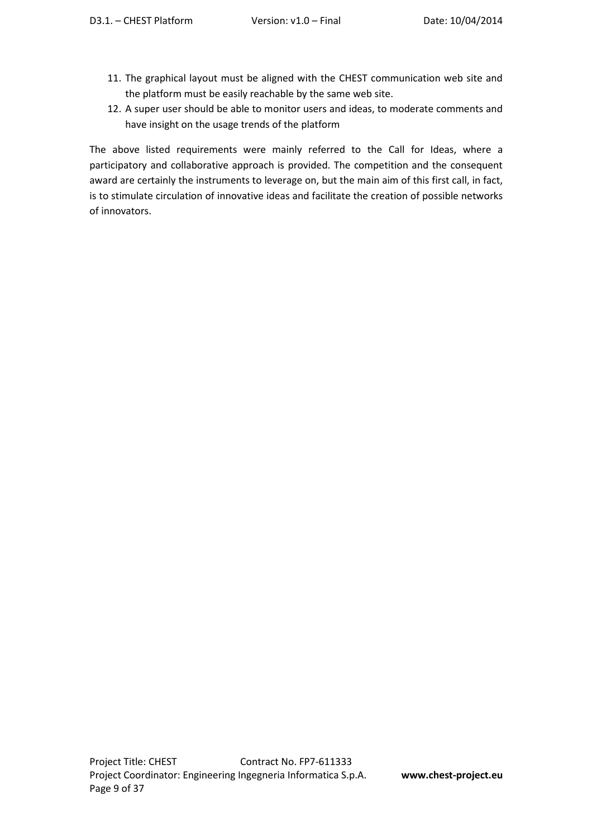- 11. The graphical layout must be aligned with the CHEST communication web site and the platform must be easily reachable by the same web site.
- 12. A super user should be able to monitor users and ideas, to moderate comments and have insight on the usage trends of the platform

The above listed requirements were mainly referred to the Call for Ideas, where a participatory and collaborative approach is provided. The competition and the consequent award are certainly the instruments to leverage on, but the main aim of this first call, in fact, is to stimulate circulation of innovative ideas and facilitate the creation of possible networks of innovators.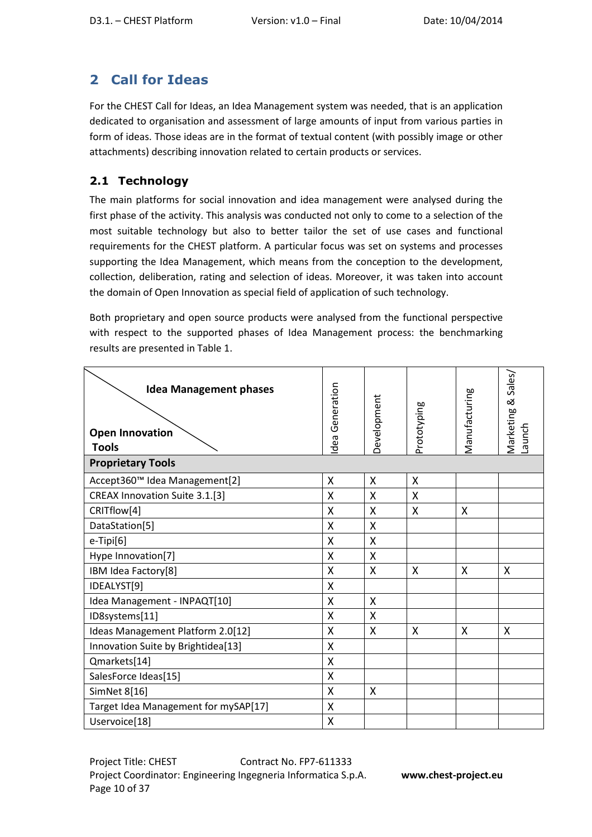# **2 Call for Ideas**

For the CHEST Call for Ideas, an Idea Management system was needed, that is an application dedicated to organisation and assessment of large amounts of input from various parties in form of ideas. Those ideas are in the format of textual content (with possibly image or other attachments) describing innovation related to certain products or services.

## **2.1 Technology**

The main platforms for social innovation and idea management were analysed during the first phase of the activity. This analysis was conducted not only to come to a selection of the most suitable technology but also to better tailor the set of use cases and functional requirements for the CHEST platform. A particular focus was set on systems and processes supporting the Idea Management, which means from the conception to the development, collection, deliberation, rating and selection of ideas. Moreover, it was taken into account the domain of Open Innovation as special field of application of such technology.

Both proprietary and open source products were analysed from the functional perspective with respect to the supported phases of Idea Management process: the benchmarking results are presented in Table 1.

| <b>Idea Management phases</b><br><b>Open Innovation</b><br><b>Tools</b> | Generation<br>Idea | Development | Prototyping  | Manufacturing | Sales/<br>ಹ<br>Marketing<br>Launch |
|-------------------------------------------------------------------------|--------------------|-------------|--------------|---------------|------------------------------------|
| <b>Proprietary Tools</b>                                                |                    |             |              |               |                                    |
| Accept360™ Idea Management[2]                                           | X                  | X           | $\mathsf{X}$ |               |                                    |
| CREAX Innovation Suite 3.1.[3]                                          | X                  | X           | X            |               |                                    |
| CRITflow[4]                                                             | X                  | X           | X            | X             |                                    |
| DataStation[5]                                                          | Χ                  | X           |              |               |                                    |
| e-Tipi[6]                                                               | Χ                  | X           |              |               |                                    |
| Hype Innovation[7]                                                      | X                  | X           |              |               |                                    |
| IBM Idea Factory[8]                                                     | X                  | X           | X            | X             | X                                  |
| IDEALYST[9]                                                             | X                  |             |              |               |                                    |
| Idea Management - INPAQT[10]                                            | Χ                  | X           |              |               |                                    |
| ID8systems[11]                                                          | X                  | X           |              |               |                                    |
| Ideas Management Platform 2.0[12]                                       | X                  | X           | X            | X             | X                                  |
| Innovation Suite by Brightidea[13]                                      | X                  |             |              |               |                                    |
| Qmarkets[14]                                                            | X                  |             |              |               |                                    |
| SalesForce Ideas[15]                                                    | Χ                  |             |              |               |                                    |
| SimNet 8[16]                                                            | X                  | X           |              |               |                                    |
| Target Idea Management for mySAP[17]                                    | Χ                  |             |              |               |                                    |
| Uservoice[18]                                                           | Χ                  |             |              |               |                                    |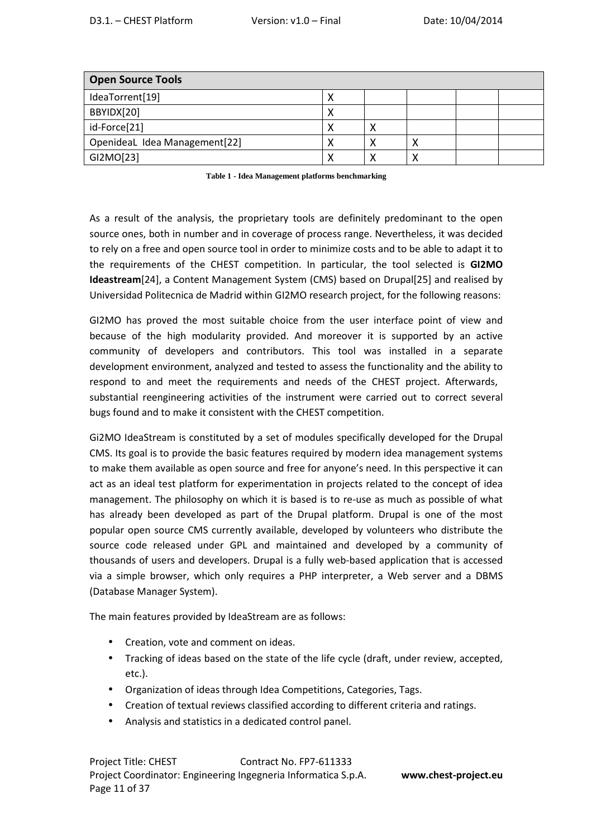| <b>Open Source Tools</b>      |  |  |  |
|-------------------------------|--|--|--|
| IdeaTorrent[19]               |  |  |  |
| BBYIDX[20]                    |  |  |  |
| id-Force[21]                  |  |  |  |
| OpenideaL Idea Management[22] |  |  |  |
| GI2MO[23]                     |  |  |  |

**Table 1 - Idea Management platforms benchmarking** 

As a result of the analysis, the proprietary tools are definitely predominant to the open source ones, both in number and in coverage of process range. Nevertheless, it was decided to rely on a free and open source tool in order to minimize costs and to be able to adapt it to the requirements of the CHEST competition. In particular, the tool selected is **GI2MO Ideastream**[24], a Content Management System (CMS) based on Drupal[25] and realised by Universidad Politecnica de Madrid within GI2MO research project, for the following reasons:

GI2MO has proved the most suitable choice from the user interface point of view and because of the high modularity provided. And moreover it is supported by an active community of developers and contributors. This tool was installed in a separate development environment, analyzed and tested to assess the functionality and the ability to respond to and meet the requirements and needs of the CHEST project. Afterwards, substantial reengineering activities of the instrument were carried out to correct several bugs found and to make it consistent with the CHEST competition.

Gi2MO IdeaStream is constituted by a set of modules specifically developed for the Drupal CMS. Its goal is to provide the basic features required by modern idea management systems to make them available as open source and free for anyone's need. In this perspective it can act as an ideal test platform for experimentation in projects related to the concept of idea management. The philosophy on which it is based is to re-use as much as possible of what has already been developed as part of the Drupal platform. Drupal is one of the most popular open source CMS currently available, developed by volunteers who distribute the source code released under GPL and maintained and developed by a community of thousands of users and developers. Drupal is a fully web-based application that is accessed via a simple browser, which only requires a PHP interpreter, a Web server and a DBMS (Database Manager System).

The main features provided by IdeaStream are as follows:

- Creation, vote and comment on ideas.
- Tracking of ideas based on the state of the life cycle (draft, under review, accepted, etc.).
- Organization of ideas through Idea Competitions, Categories, Tags.
- Creation of textual reviews classified according to different criteria and ratings.
- Analysis and statistics in a dedicated control panel.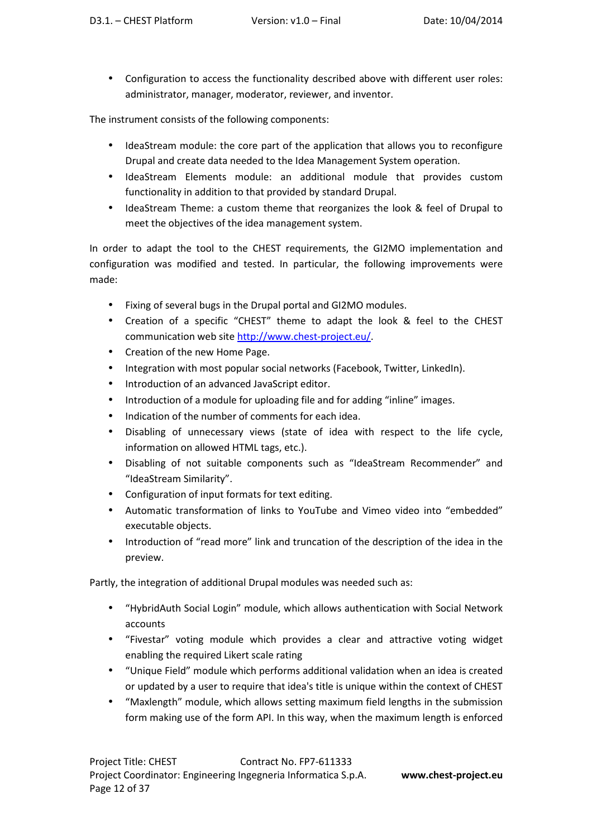• Configuration to access the functionality described above with different user roles: administrator, manager, moderator, reviewer, and inventor.

The instrument consists of the following components:

- IdeaStream module: the core part of the application that allows you to reconfigure Drupal and create data needed to the Idea Management System operation.
- IdeaStream Elements module: an additional module that provides custom functionality in addition to that provided by standard Drupal.
- IdeaStream Theme: a custom theme that reorganizes the look & feel of Drupal to meet the objectives of the idea management system.

In order to adapt the tool to the CHEST requirements, the GI2MO implementation and configuration was modified and tested. In particular, the following improvements were made:

- Fixing of several bugs in the Drupal portal and GI2MO modules.
- Creation of a specific "CHEST" theme to adapt the look & feel to the CHEST communication web site http://www.chest-project.eu/.
- Creation of the new Home Page.
- Integration with most popular social networks (Facebook, Twitter, LinkedIn).
- Introduction of an advanced JavaScript editor.
- Introduction of a module for uploading file and for adding "inline" images.
- Indication of the number of comments for each idea.
- Disabling of unnecessary views (state of idea with respect to the life cycle, information on allowed HTML tags, etc.).
- Disabling of not suitable components such as "IdeaStream Recommender" and "IdeaStream Similarity".
- Configuration of input formats for text editing.
- Automatic transformation of links to YouTube and Vimeo video into "embedded" executable objects.
- Introduction of "read more" link and truncation of the description of the idea in the preview.

Partly, the integration of additional Drupal modules was needed such as:

- "HybridAuth Social Login" module, which allows authentication with Social Network accounts
- "Fivestar" voting module which provides a clear and attractive voting widget enabling the required Likert scale rating
- "Unique Field" module which performs additional validation when an idea is created or updated by a user to require that idea's title is unique within the context of CHEST
- "Maxlength" module, which allows setting maximum field lengths in the submission form making use of the form API. In this way, when the maximum length is enforced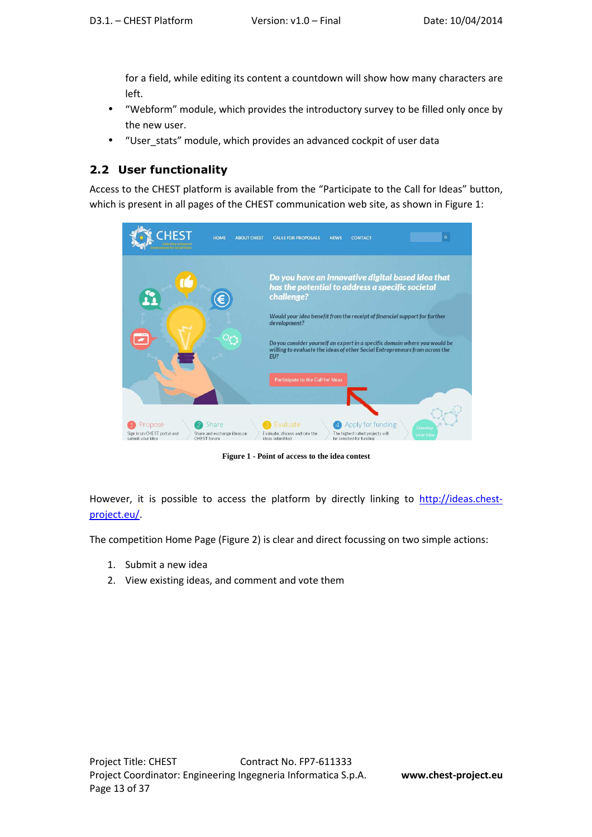for a field, while editing its content a countdown will show how many characters are left.

- "Webform" module, which provides the introductory survey to be filled only once by the new user.
- "User\_stats" module, which provides an advanced cockpit of user data

#### **2.2 User functionality**

Access to the CHEST platform is available from the "Participate to the Call for Ideas" button, which is present in all pages of the CHEST communication web site, as shown in Figure 1:

| <b>HEST</b>                                                | <b>HOME</b><br><b>ABOUT CHEST</b>                   | $\mathbf{Q}_i$<br><b>CALLS FOR PROPOSALS</b><br><b>NEWS</b><br><b>CONTACT</b>                                                                                            |
|------------------------------------------------------------|-----------------------------------------------------|--------------------------------------------------------------------------------------------------------------------------------------------------------------------------|
| $\mathbf{r}$                                               | Е                                                   | Do you have an innovative digital based idea that<br>has the potential to address a specific societal<br>challenge?                                                      |
|                                                            |                                                     | Would your idea benefit from the receipt of financial support for further<br>development?                                                                                |
| $-0.01$                                                    |                                                     | Do you consider yourself an expert in a specific domain where you would be<br>willing to evaluate the ideas of other Social Entrepreneurs from across the<br>EU?         |
|                                                            |                                                     | Participate to the Call for Ideas                                                                                                                                        |
|                                                            |                                                     |                                                                                                                                                                          |
| Propose<br>Sign in on CHEST portal and<br>submit your idea | Share<br>Share and exchange ideas on<br>CHEST forum | Apply for funding<br>Evaluate<br>Develop<br>Evaluate, discuss and rate the<br>The highest rated projects will<br>your idea<br>be selected for funding<br>ideas submitted |

**Figure 1 - Point of access to the idea contest** 

However, it is possible to access the platform by directly linking to http://ideas.chestproject.eu/.

The competition Home Page (Figure 2) is clear and direct focussing on two simple actions:

- 1. Submit a new idea
- 2. View existing ideas, and comment and vote them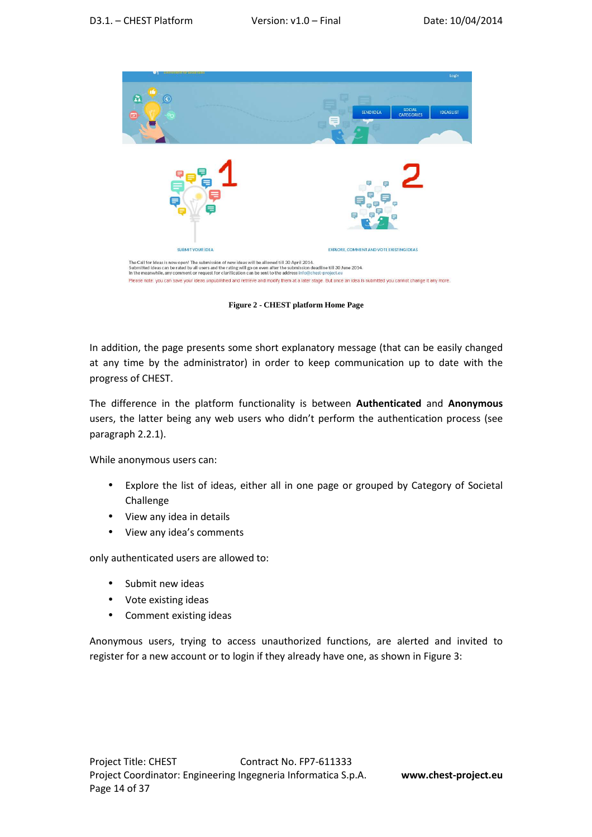

**Figure 2 - CHEST platform Home Page** 

In addition, the page presents some short explanatory message (that can be easily changed at any time by the administrator) in order to keep communication up to date with the progress of CHEST.

The difference in the platform functionality is between **Authenticated** and **Anonymous** users, the latter being any web users who didn't perform the authentication process (see paragraph 2.2.1).

While anonymous users can:

- Explore the list of ideas, either all in one page or grouped by Category of Societal Challenge
- View any idea in details
- View any idea's comments

only authenticated users are allowed to:

- Submit new ideas
- Vote existing ideas
- Comment existing ideas

Anonymous users, trying to access unauthorized functions, are alerted and invited to register for a new account or to login if they already have one, as shown in Figure 3: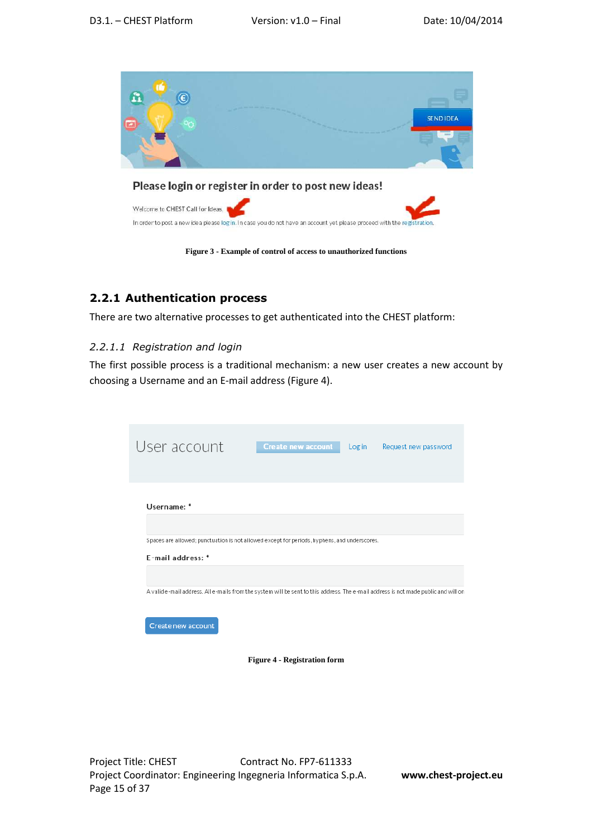

#### **2.2.1 Authentication process**

There are two alternative processes to get authenticated into the CHEST platform:

#### *2.2.1.1 Registration and login*

The first possible process is a traditional mechanism: a new user creates a new account by choosing a Username and an E-mail address (Figure 4).

| User account                                                                                                                        | <b>Create new account</b> | Login | Request new password |
|-------------------------------------------------------------------------------------------------------------------------------------|---------------------------|-------|----------------------|
| Username: *                                                                                                                         |                           |       |                      |
| Spaces are allowed; punctuation is not allowed except for periods, hyphens, and underscores.<br>E-mail address: *                   |                           |       |                      |
| A valid e-mail address. All e-mails from the system will be sent to this address. The e-mail address is not made public and will on |                           |       |                      |
| Create new account                                                                                                                  |                           |       |                      |

**Figure 4 - Registration form**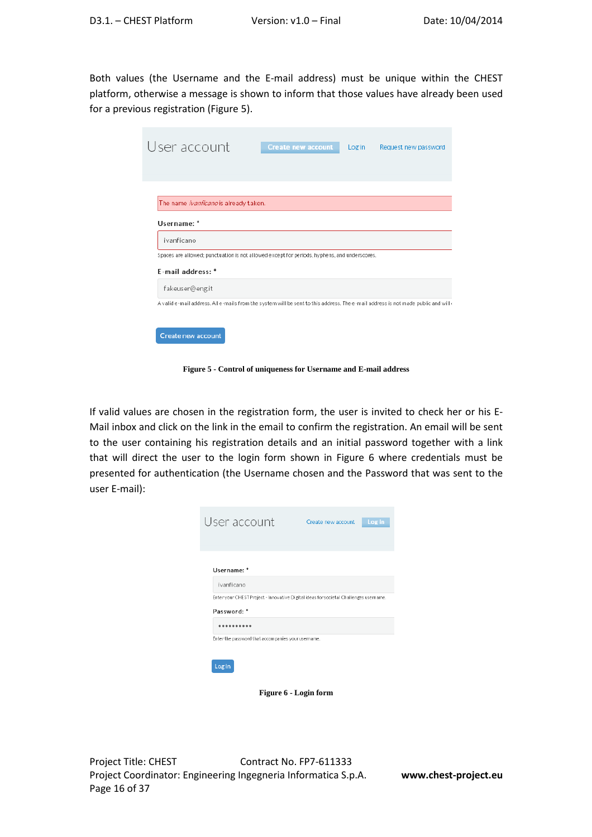Both values (the Username and the E-mail address) must be unique within the CHEST platform, otherwise a message is shown to inform that those values have already been used for a previous registration (Figure 5).

| User account                                                                                                                       | <b>Create new account</b> | Login | Request new password |
|------------------------------------------------------------------------------------------------------------------------------------|---------------------------|-------|----------------------|
|                                                                                                                                    |                           |       |                      |
| The name <i>ivanficano</i> is already taken.                                                                                       |                           |       |                      |
| Username: *                                                                                                                        |                           |       |                      |
| ivanficano                                                                                                                         |                           |       |                      |
| Spaces are allowed; punctuation is not allowed except for periods, hyphens, and underscores.                                       |                           |       |                      |
| F-mail address: *                                                                                                                  |                           |       |                      |
| fakeuser@eng.it                                                                                                                    |                           |       |                      |
| A valid e-mail address. All e-mails from the system will be sent to this address. The e-mail address is not made public and will o |                           |       |                      |
|                                                                                                                                    |                           |       |                      |
| Create new account                                                                                                                 |                           |       |                      |

**Figure 5 - Control of uniqueness for Username and E-mail address** 

If valid values are chosen in the registration form, the user is invited to check her or his E-Mail inbox and click on the link in the email to confirm the registration. An email will be sent to the user containing his registration details and an initial password together with a link that will direct the user to the login form shown in Figure 6 where credentials must be presented for authentication (the Username chosen and the Password that was sent to the user E-mail):

| User account                                                                                         | Create new account | Log in |
|------------------------------------------------------------------------------------------------------|--------------------|--------|
| Username: *<br>ivanficano                                                                            |                    |        |
| Enter your CHEST Project - Innovative Digital Ideas for societal Challenges username.<br>Password: * |                    |        |
| Enter the password that accompanies your username.                                                   |                    |        |
| Login                                                                                                |                    |        |

**Figure 6 - Login form**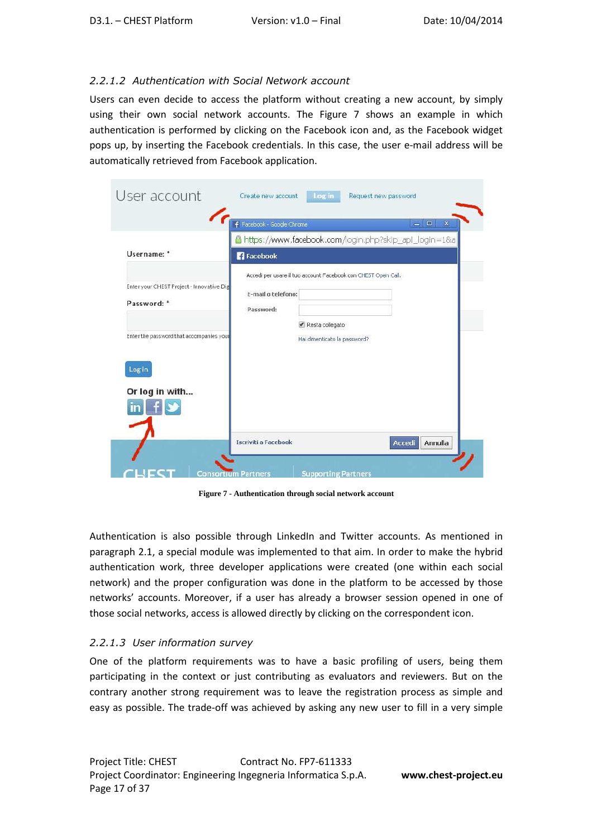#### *2.2.1.2 Authentication with Social Network account*

Users can even decide to access the platform without creating a new account, by simply using their own social network accounts. The Figure 7 shows an example in which authentication is performed by clicking on the Facebook icon and, as the Facebook widget pops up, by inserting the Facebook credentials. In this case, the user e-mail address will be automatically retrieved from Facebook application.

| User account                                             | Create new account              | Request new password<br>Log in                                |                              |
|----------------------------------------------------------|---------------------------------|---------------------------------------------------------------|------------------------------|
|                                                          | F Facebook - Google Chrome      |                                                               | $\mathbf x$<br>回<br>$\equiv$ |
| Username: *                                              | <b>Facebook</b>                 | https://www.facebook.com/login.php?skip_api_login=1&a         |                              |
| Enter your CHEST Project - Innovative Dig<br>Password: * | E-mail o telefono:<br>Password: | Accedi per usare il tuo account Facebook con CHEST Open Call. |                              |
| Enter the password that accompanies you<br>Login         |                                 | ◆ Resta collegato<br>Hai dimenticato la password?             |                              |
| Or log in with                                           |                                 |                                                               |                              |
|                                                          | <b>Iscriviti a Facebook</b>     |                                                               | Annulla<br>Accedi            |
|                                                          | <b>Consortium Partners</b>      | <b>Supporting Partners</b>                                    |                              |

**Figure 7 - Authentication through social network account** 

Authentication is also possible through LinkedIn and Twitter accounts. As mentioned in paragraph 2.1, a special module was implemented to that aim. In order to make the hybrid authentication work, three developer applications were created (one within each social network) and the proper configuration was done in the platform to be accessed by those networks' accounts. Moreover, if a user has already a browser session opened in one of those social networks, access is allowed directly by clicking on the correspondent icon.

#### *2.2.1.3 User information survey*

One of the platform requirements was to have a basic profiling of users, being them participating in the context or just contributing as evaluators and reviewers. But on the contrary another strong requirement was to leave the registration process as simple and easy as possible. The trade-off was achieved by asking any new user to fill in a very simple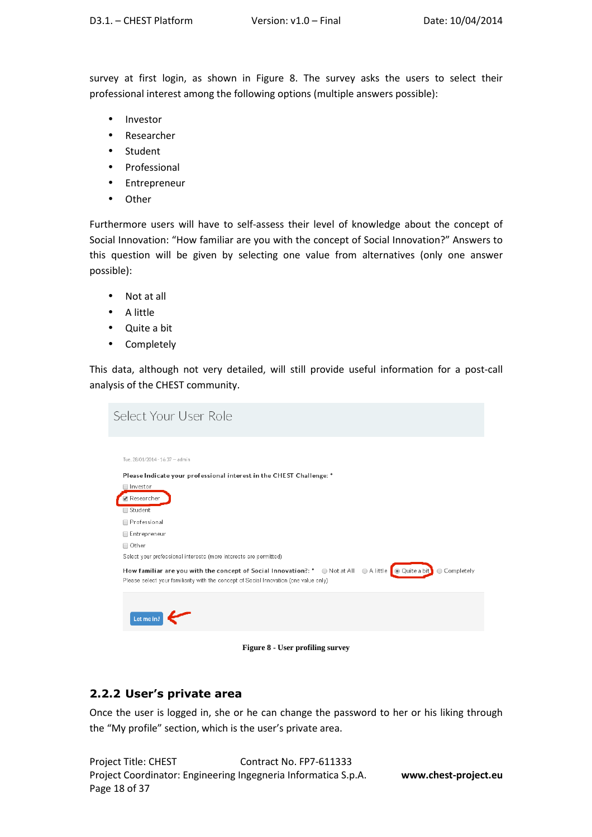survey at first login, as shown in Figure 8. The survey asks the users to select their professional interest among the following options (multiple answers possible):

- Investor
- Researcher
- Student
- Professional
- Entrepreneur
- Other

Furthermore users will have to self-assess their level of knowledge about the concept of Social Innovation: "How familiar are you with the concept of Social Innovation?" Answers to this question will be given by selecting one value from alternatives (only one answer possible):

- Not at all
- A little
- Quite a bit
- Completely

This data, although not very detailed, will still provide useful information for a post-call analysis of the CHEST community.

| Select Your User Role                                                                                                                                                                                                                                                                                                                                                  |              |
|------------------------------------------------------------------------------------------------------------------------------------------------------------------------------------------------------------------------------------------------------------------------------------------------------------------------------------------------------------------------|--------------|
| Tue. 28/01/2014 - 16:37 - admin<br>Please Indicate your professional interest in the CHEST Challenge: *<br>□ Investor<br>Researcher<br>□ Student<br>Professional<br>Entrepreneur<br>□ Other<br>Select your professional interests (more interests are permitted)<br>How familiar are you with the concept of Social Innovation?: * Not at All CA little CO Quite a bit | ○ Completely |
| Please select your familiarity with the concept of Social Innovation (one value only)<br>Let me in!                                                                                                                                                                                                                                                                    |              |

**Figure 8 - User profiling survey** 

#### **2.2.2 User's private area**

Once the user is logged in, she or he can change the password to her or his liking through the "My profile" section, which is the user's private area.

Project Title: CHEST Contract No. FP7-611333 Project Coordinator: Engineering Ingegneria Informatica S.p.A. **www.chest-project.eu** Page 18 of 37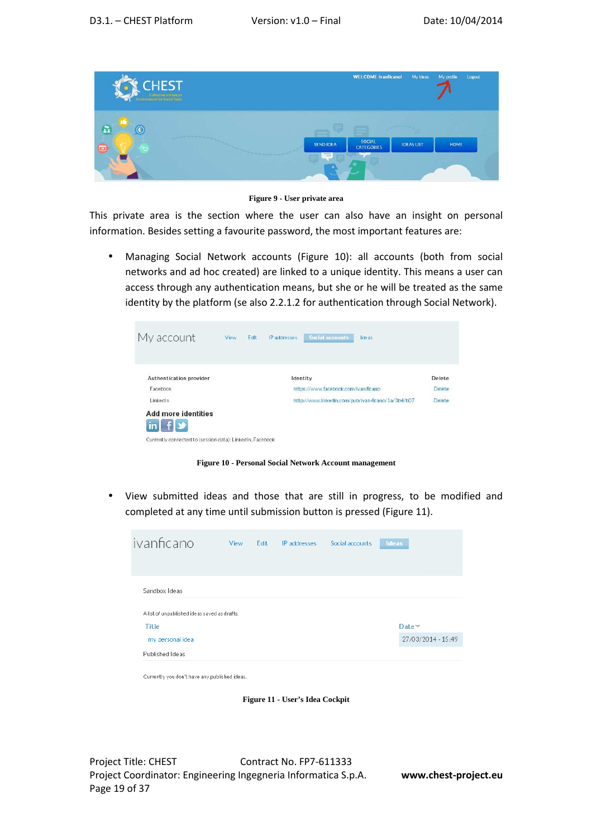

**Figure 9 - User private area** 

This private area is the section where the user can also have an insight on personal information. Besides setting a favourite password, the most important features are:

• Managing Social Network accounts (Figure 10): all accounts (both from social networks and ad hoc created) are linked to a unique identity. This means a user can access through any authentication means, but she or he will be treated as the same identity by the platform (se also 2.2.1.2 for authentication through Social Network).

| My account                                                                                                        | View | Edit | IP addresses | Social accounts                      | Ideas                                              |        |
|-------------------------------------------------------------------------------------------------------------------|------|------|--------------|--------------------------------------|----------------------------------------------------|--------|
| Authentication provider                                                                                           |      |      |              | Identity                             |                                                    | Delete |
| Facebook                                                                                                          |      |      |              | https://www.facebook.com/ivan.ficano |                                                    | Delete |
| LinkedIn                                                                                                          |      |      |              |                                      | http://www.linkedin.com/pub/ivan-ficano/1a/3b4/b07 | Delete |
| <b>Add more identities</b><br>$in$ $f$ $\rightarrow$<br>Currently connected to (session data): LinkedIn, Facebook |      |      |              |                                      |                                                    |        |

**Figure 10 - Personal Social Network Account management** 

• View submitted ideas and those that are still in progress, to be modified and completed at any time until submission button is pressed (Figure 11).



Currently you don't have any published ideas.

**Figure 11 - User's Idea Cockpit** 

Project Title: CHEST Contract No. FP7-611333 Project Coordinator: Engineering Ingegneria Informatica S.p.A. **www.chest-project.eu** Page 19 of 37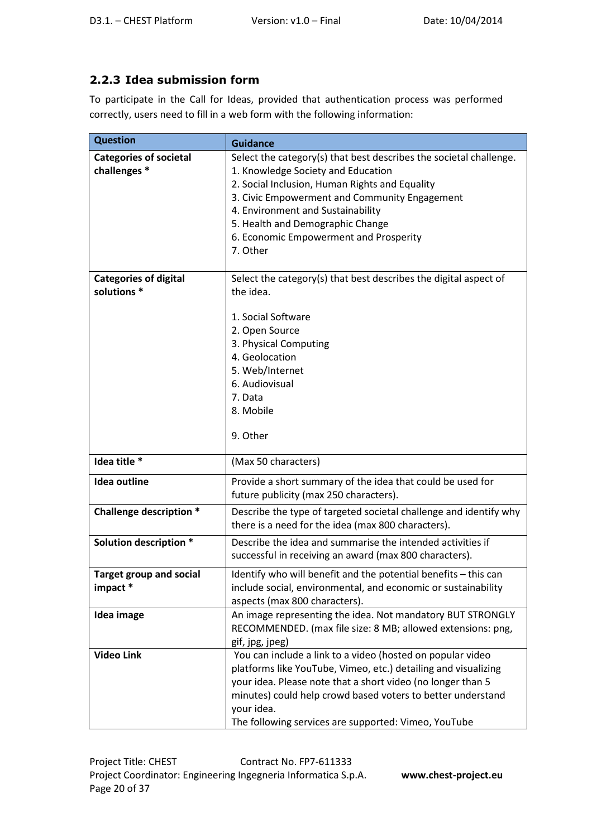## **2.2.3 Idea submission form**

To participate in the Call for Ideas, provided that authentication process was performed correctly, users need to fill in a web form with the following information:

| <b>Question</b>                | <b>Guidance</b>                                                    |
|--------------------------------|--------------------------------------------------------------------|
| <b>Categories of societal</b>  | Select the category(s) that best describes the societal challenge. |
| challenges *                   | 1. Knowledge Society and Education                                 |
|                                | 2. Social Inclusion, Human Rights and Equality                     |
|                                | 3. Civic Empowerment and Community Engagement                      |
|                                | 4. Environment and Sustainability                                  |
|                                | 5. Health and Demographic Change                                   |
|                                | 6. Economic Empowerment and Prosperity                             |
|                                | 7. Other                                                           |
| <b>Categories of digital</b>   | Select the category(s) that best describes the digital aspect of   |
| solutions *                    | the idea.                                                          |
|                                |                                                                    |
|                                | 1. Social Software                                                 |
|                                | 2. Open Source                                                     |
|                                | 3. Physical Computing                                              |
|                                | 4. Geolocation                                                     |
|                                | 5. Web/Internet                                                    |
|                                | 6. Audiovisual                                                     |
|                                | 7. Data                                                            |
|                                | 8. Mobile                                                          |
|                                | 9. Other                                                           |
|                                |                                                                    |
| Idea title *                   | (Max 50 characters)                                                |
| Idea outline                   | Provide a short summary of the idea that could be used for         |
|                                | future publicity (max 250 characters).                             |
| <b>Challenge description *</b> | Describe the type of targeted societal challenge and identify why  |
|                                | there is a need for the idea (max 800 characters).                 |
| Solution description *         | Describe the idea and summarise the intended activities if         |
|                                | successful in receiving an award (max 800 characters).             |
| <b>Target group and social</b> | Identify who will benefit and the potential benefits - this can    |
| impact *                       | include social, environmental, and economic or sustainability      |
|                                | aspects (max 800 characters).                                      |
| Idea image                     | An image representing the idea. Not mandatory BUT STRONGLY         |
|                                | RECOMMENDED. (max file size: 8 MB; allowed extensions: png,        |
|                                | gif, jpg, jpeg)                                                    |
| <b>Video Link</b>              | You can include a link to a video (hosted on popular video         |
|                                | platforms like YouTube, Vimeo, etc.) detailing and visualizing     |
|                                | your idea. Please note that a short video (no longer than 5        |
|                                | minutes) could help crowd based voters to better understand        |
|                                | your idea.                                                         |
|                                | The following services are supported: Vimeo, YouTube               |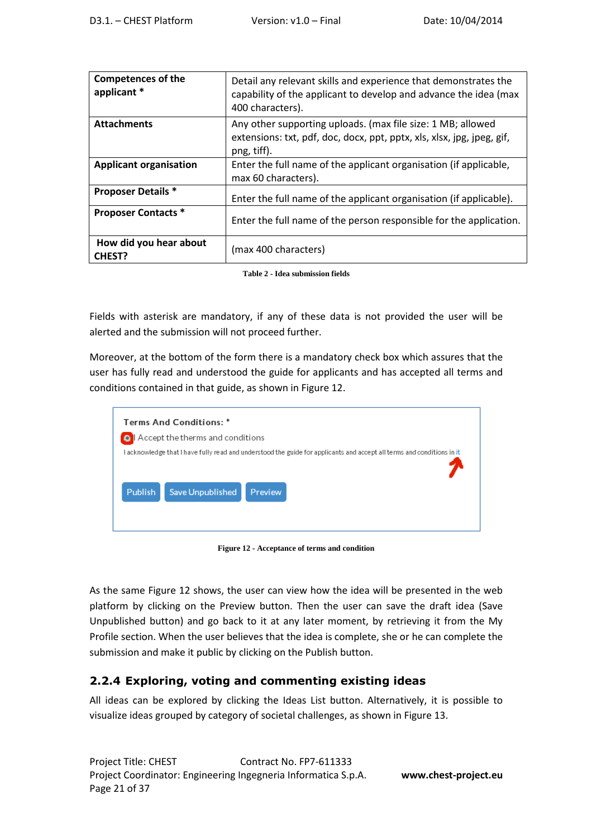| <b>Competences of the</b><br>applicant * | Detail any relevant skills and experience that demonstrates the<br>capability of the applicant to develop and advance the idea (max<br>400 characters). |
|------------------------------------------|---------------------------------------------------------------------------------------------------------------------------------------------------------|
| <b>Attachments</b>                       | Any other supporting uploads. (max file size: 1 MB; allowed<br>extensions: txt, pdf, doc, docx, ppt, pptx, xls, xlsx, jpg, jpeg, gif,<br>png, tiff).    |
| <b>Applicant organisation</b>            | Enter the full name of the applicant organisation (if applicable,<br>max 60 characters).                                                                |
| <b>Proposer Details *</b>                | Enter the full name of the applicant organisation (if applicable).                                                                                      |
| <b>Proposer Contacts *</b>               | Enter the full name of the person responsible for the application.                                                                                      |
| How did you hear about<br><b>CHEST?</b>  | (max 400 characters)                                                                                                                                    |

**Table 2 - Idea submission fields** 

Fields with asterisk are mandatory, if any of these data is not provided the user will be alerted and the submission will not proceed further.

Moreover, at the bottom of the form there is a mandatory check box which assures that the user has fully read and understood the guide for applicants and has accepted all terms and conditions contained in that guide, as shown in Figure 12.

| Terms And Conditions: *                                                                                                                                                 |
|-------------------------------------------------------------------------------------------------------------------------------------------------------------------------|
| Accept the therms and conditions                                                                                                                                        |
| I acknowledge that I have fully read and understood the guide for applicants and accept all terms and conditions in it<br>Save Unpublished<br><b>Publish</b><br>Preview |

**Figure 12 - Acceptance of terms and condition** 

As the same Figure 12 shows, the user can view how the idea will be presented in the web platform by clicking on the Preview button. Then the user can save the draft idea (Save Unpublished button) and go back to it at any later moment, by retrieving it from the My Profile section. When the user believes that the idea is complete, she or he can complete the submission and make it public by clicking on the Publish button.

#### **2.2.4 Exploring, voting and commenting existing ideas**

All ideas can be explored by clicking the Ideas List button. Alternatively, it is possible to visualize ideas grouped by category of societal challenges, as shown in Figure 13.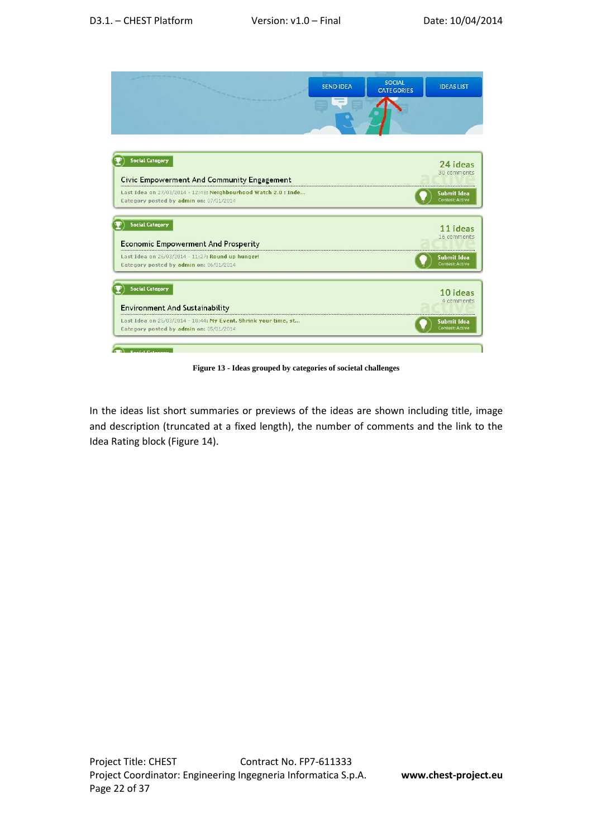| <b>SEND IDEA</b> | <b>SOCIAL</b><br><b>CATEGORIES</b> | <b>IDEAS LIST</b>                                                                         |
|------------------|------------------------------------|-------------------------------------------------------------------------------------------|
|                  |                                    | 24 ideas<br>30 comments<br>Submit Idea<br><b>Contest: Active</b>                          |
|                  |                                    | 11 ideas<br>16 comments<br>Submit Idea                                                    |
|                  |                                    | <b>Contest: Active</b><br>10 ideas<br>4 comments<br>Submit Idea<br><b>Contest: Active</b> |
|                  |                                    |                                                                                           |

**Figure 13 - Ideas grouped by categories of societal challenges** 

In the ideas list short summaries or previews of the ideas are shown including title, image and description (truncated at a fixed length), the number of comments and the link to the Idea Rating block (Figure 14).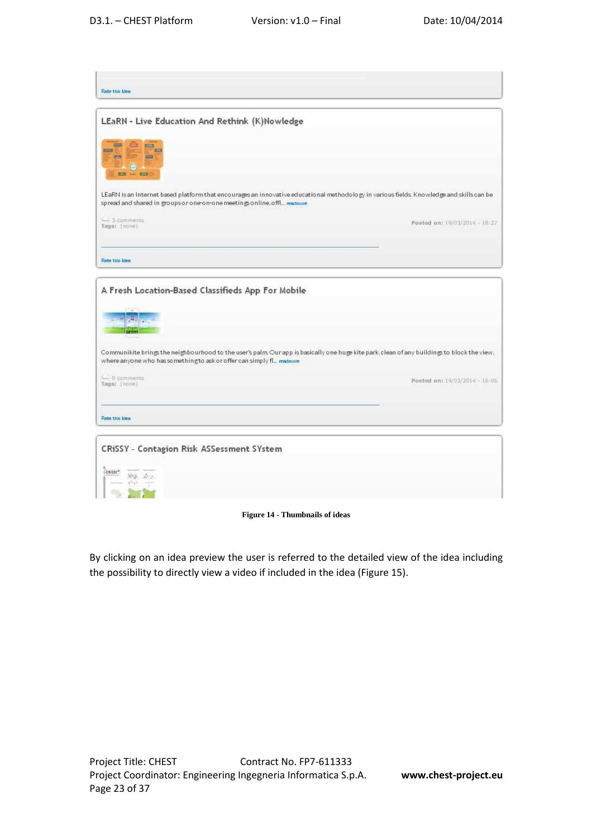| Rate this kies                                                                                                                                                       |                                                                                                                                            |
|----------------------------------------------------------------------------------------------------------------------------------------------------------------------|--------------------------------------------------------------------------------------------------------------------------------------------|
| LEaRN - Live Education And Rethink (K)Nowledge                                                                                                                       |                                                                                                                                            |
| m<br>$\equiv$                                                                                                                                                        |                                                                                                                                            |
| <b>PIPE</b><br>$=$<br>permit<br>G                                                                                                                                    |                                                                                                                                            |
| $50 - 50$                                                                                                                                                            |                                                                                                                                            |
| spread and shared in groups or one on-one meetings online, offl readmore                                                                                             | LEaRN is an Internet based platform that encourages an innovative educational methodology in various fields. Knowledge and skills can be   |
| $-3$ comments<br>Tags: (none)                                                                                                                                        | Posted on: 19/03/2014 - 18:27                                                                                                              |
| Rate this kies                                                                                                                                                       |                                                                                                                                            |
|                                                                                                                                                                      |                                                                                                                                            |
|                                                                                                                                                                      |                                                                                                                                            |
|                                                                                                                                                                      |                                                                                                                                            |
|                                                                                                                                                                      |                                                                                                                                            |
|                                                                                                                                                                      |                                                                                                                                            |
|                                                                                                                                                                      |                                                                                                                                            |
|                                                                                                                                                                      | Communikite brings the neighbourhood to the user's palm Our app is basically one huge kite park; clean of any buildings to block the view, |
|                                                                                                                                                                      | Posted on: 19/03/2014 - 15:06                                                                                                              |
|                                                                                                                                                                      |                                                                                                                                            |
| A Fresh Location-Based Classifieds App For Mobile<br>where anyone who has something to ask or offer can simply fl., readmore<br>C comments<br>Tags: (none)           |                                                                                                                                            |
| Rate this kies                                                                                                                                                       |                                                                                                                                            |
|                                                                                                                                                                      |                                                                                                                                            |
|                                                                                                                                                                      |                                                                                                                                            |
| CRISSY - Contagion Risk ASSessment SYstem<br>FORISSY <sup>®</sup><br>$\mathcal{M}^{\alpha\beta}_{\text{eff}}=\mathcal{M}_{\alpha\beta}^{\alpha\beta}$<br>$1 - 2 - 1$ |                                                                                                                                            |

**Figure 14 - Thumbnails of ideas** 

By clicking on an idea preview the user is referred to the detailed view of the idea including the possibility to directly view a video if included in the idea (Figure 15).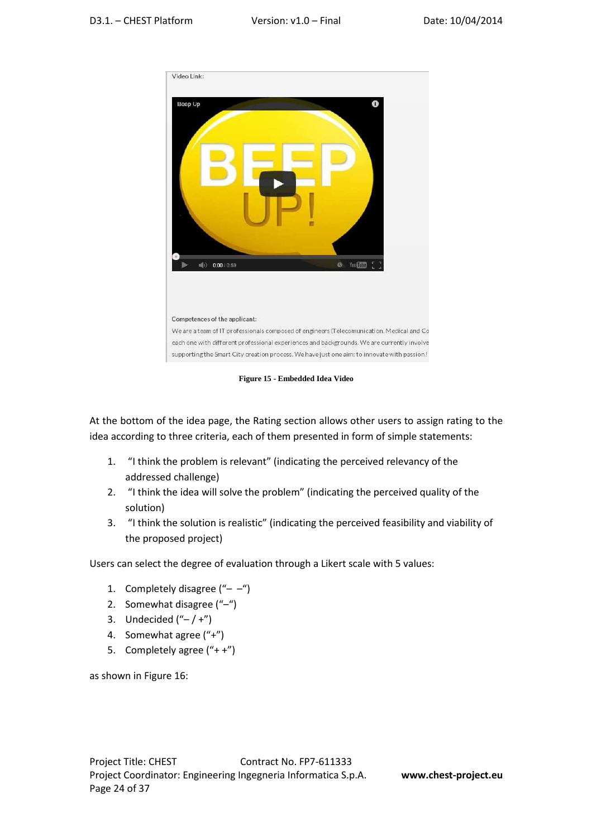

**Figure 15 - Embedded Idea Video** 

At the bottom of the idea page, the Rating section allows other users to assign rating to the idea according to three criteria, each of them presented in form of simple statements:

- 1. "I think the problem is relevant" (indicating the perceived relevancy of the addressed challenge)
- 2. "I think the idea will solve the problem" (indicating the perceived quality of the solution)
- 3. "I think the solution is realistic" (indicating the perceived feasibility and viability of the proposed project)

Users can select the degree of evaluation through a Likert scale with 5 values:

- 1. Completely disagree  $( -)$
- 2. Somewhat disagree ("–")
- 3. Undecided  $("- / +" )$
- 4. Somewhat agree ("+")
- 5. Completely agree ("+ +")

as shown in Figure 16: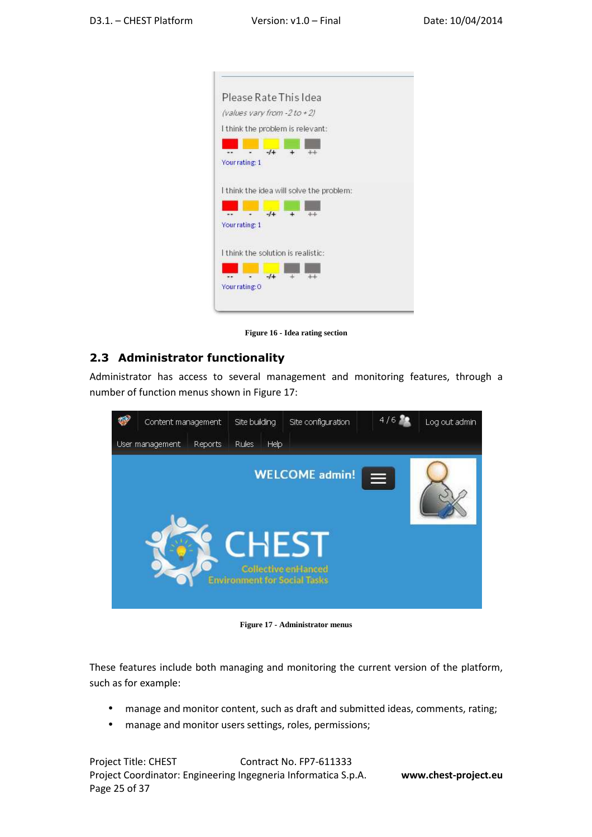

**Figure 16 - Idea rating section** 

#### **2.3 Administrator functionality**

Administrator has access to several management and monitoring features, through a number of function menus shown in Figure 17:



**Figure 17 - Administrator menus** 

These features include both managing and monitoring the current version of the platform, such as for example:

- manage and monitor content, such as draft and submitted ideas, comments, rating;
- manage and monitor users settings, roles, permissions;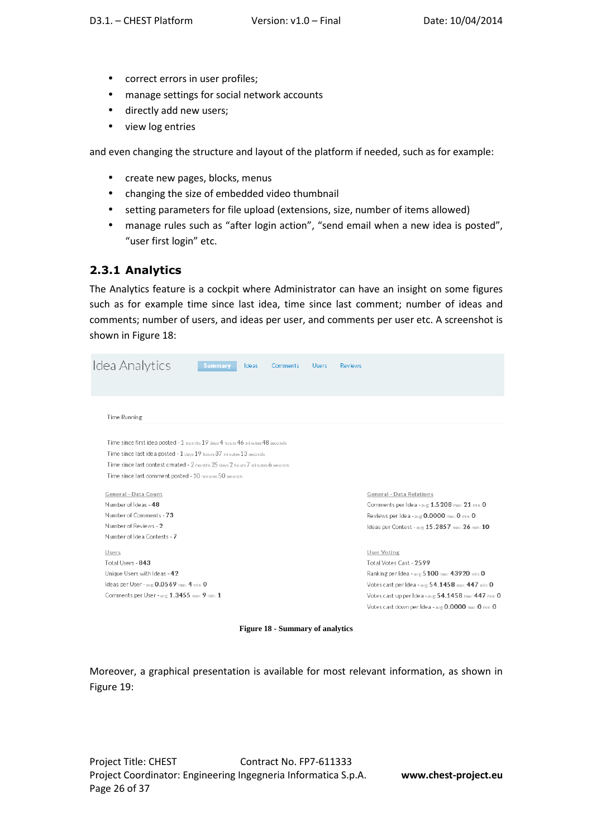- correct errors in user profiles;
- manage settings for social network accounts
- directly add new users;
- view log entries

and even changing the structure and layout of the platform if needed, such as for example:

- create new pages, blocks, menus
- changing the size of embedded video thumbnail
- setting parameters for file upload (extensions, size, number of items allowed)
- manage rules such as "after login action", "send email when a new idea is posted", "user first login" etc.

#### **2.3.1 Analytics**

The Analytics feature is a cockpit where Administrator can have an insight on some figures such as for example time since last idea, time since last comment; number of ideas and comments; number of users, and ideas per user, and comments per user etc. A screenshot is shown in Figure 18:

| Idea Analytics               |                                                                                | <b>Summary</b> | Ideas | <b>Comments</b> | <b>Users</b> | <b>Reviews</b> |                                                      |
|------------------------------|--------------------------------------------------------------------------------|----------------|-------|-----------------|--------------|----------------|------------------------------------------------------|
|                              |                                                                                |                |       |                 |              |                |                                                      |
| Time Running                 |                                                                                |                |       |                 |              |                |                                                      |
|                              | Time since first idea posted - 1 months 19 days 4 hours 46 minutes 48 seconds  |                |       |                 |              |                |                                                      |
|                              | Time since last idea posted - 1 days 19 hours 37 minutes 13 seconds            |                |       |                 |              |                |                                                      |
|                              | Time since last contest created - 2 months 25 days 2 hours 7 minutes 6 seconds |                |       |                 |              |                |                                                      |
|                              | Time since last comment posted - 10 minutes 50 seconds                         |                |       |                 |              |                |                                                      |
| General - Data Count         |                                                                                |                |       |                 |              |                | General - Data Relations                             |
| Number of Ideas - 48         |                                                                                |                |       |                 |              |                | Comments per Idea - avg 1.5 208 max: 21 min: 0       |
| Number of Comments - 73      |                                                                                |                |       |                 |              |                | Reviews per Idea - avg: 0.0000 max: 0 min: 0         |
| Number of Reviews - 2        |                                                                                |                |       |                 |              |                | Ideas per Contest - avg: 15.2857 max: 26 min: 10     |
| Number of Idea Contests - 7  |                                                                                |                |       |                 |              |                |                                                      |
| Users                        |                                                                                |                |       |                 |              |                | <b>User Voting</b>                                   |
| Total Users - 843            |                                                                                |                |       |                 |              |                | Total Votes Cast - 2599                              |
| Unique Users with Ideas - 42 |                                                                                |                |       |                 |              |                | Ranking per Idea - avg 5 100 max: 439 20 min: 0      |
|                              | Ideas per User - $\text{avg } 0.0569$ max: 4 min: 0                            |                |       |                 |              |                | Votes cast per Idea - avg 54.1458 max: 447 min: 0    |
|                              | Comments per User - avg 1.3455 max: 9 min: 1                                   |                |       |                 |              |                | Votes cast up per Idea - svg 54.1458 max: 447 min: 0 |
|                              |                                                                                |                |       |                 |              |                | Votes cast down per Idea - avg. 0.0000 max: 0 min: 0 |
|                              |                                                                                |                |       |                 |              |                |                                                      |

**Figure 18 - Summary of analytics** 

Moreover, a graphical presentation is available for most relevant information, as shown in Figure 19: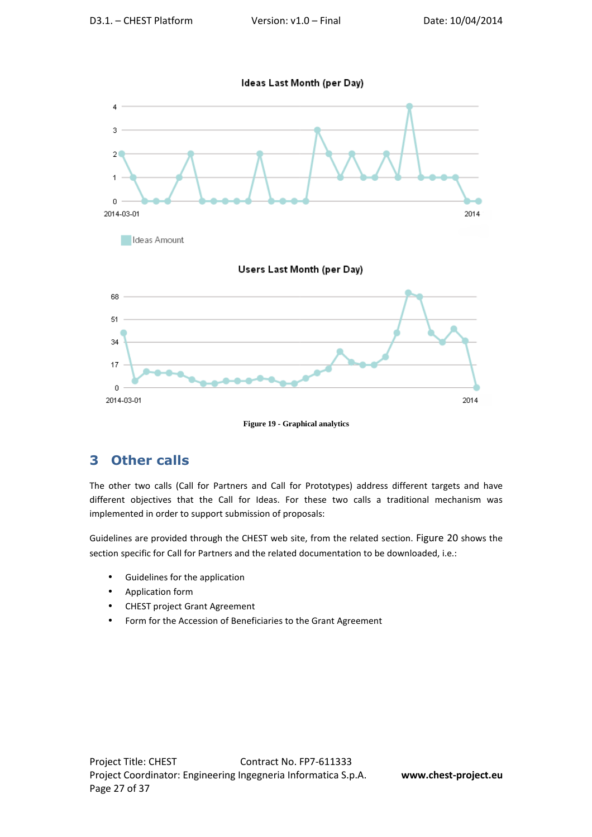Ideas Last Month (per Day)



**Figure 19 - Graphical analytics** 

## **3 Other calls**

The other two calls (Call for Partners and Call for Prototypes) address different targets and have different objectives that the Call for Ideas. For these two calls a traditional mechanism was implemented in order to support submission of proposals:

Guidelines are provided through the CHEST web site, from the related section. Figure 20 shows the section specific for Call for Partners and the related documentation to be downloaded, i.e.:

- Guidelines for the application
- Application form
- CHEST project Grant Agreement
- Form for the Accession of Beneficiaries to the Grant Agreement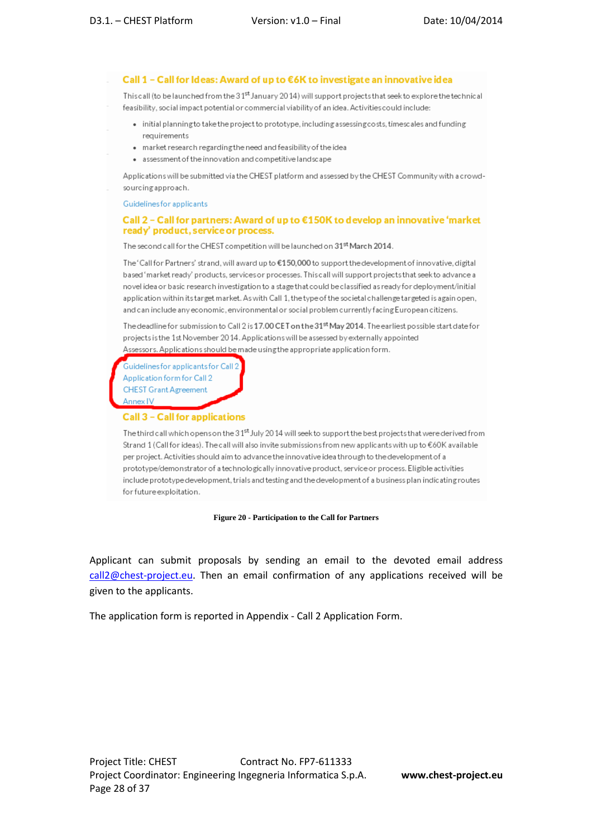Call 1 - Call for Ideas: Award of up to €6K to investigate an innovative idea

This call (to be launched from the 31<sup>st</sup> January 2014) will support projects that seek to explore the technical feasibility, social impact potential or commercial viability of an idea. Activities could include:

- initial planning to take the project to prototype, including assessing costs, timescales and funding requirements
- market research regarding the need and feasibility of the idea
- assessment of the innovation and competitive landscape

Applications will be submitted via the CHEST platform and assessed by the CHEST Community with a crowdsourcing approach.

Guidelines for applicants

#### Call 2 – Call for partners: Award of up to  $E$ 150K to develop an innovative 'market ready' product, service or process.

The second call for the CHEST competition will be launched on 31<sup>st</sup> March 2014.

The 'Call for Partners' strand, will award up to €150,000 to support the development of innovative, digital based 'market ready' products, services or processes. This call will support projects that seek to advance a novel idea or basic research investigation to a stage that could be classified as ready for deployment/initial application within its target market. As with Call 1, the type of the societal challenge targeted is again open, and can include any economic, environmental or social problem currently facing European citizens.

The deadline for submission to Call 2 is 17.00 CET on the 31<sup>st</sup> May 2014. The earliest possible start date for projects is the 1st November 2014. Applications will be assessed by externally appointed Assessors. Applications should be made using the appropriate application form.

.<br>Guidelines for applicants for Call 2 Application form for Call 2 **CHEST Grant Agreement** Annex IV

#### **Call 3 - Call for applications**

The third call which opens on the 31<sup>st</sup> July 2014 will seek to support the best projects that were derived from Strand 1 (Call for ideas). The call will also invite submissions from new applicants with up to €60K available per project. Activities should aim to advance the innovative idea through to the development of a prototype/demonstrator of a technologically innovative product, service or process. Eligible activities include prototype development, trials and testing and the development of a business plan indicating routes for future exploitation.

#### **Figure 20 - Participation to the Call for Partners**

Applicant can submit proposals by sending an email to the devoted email address call2@chest-project.eu. Then an email confirmation of any applications received will be given to the applicants.

The application form is reported in Appendix - Call 2 Application Form.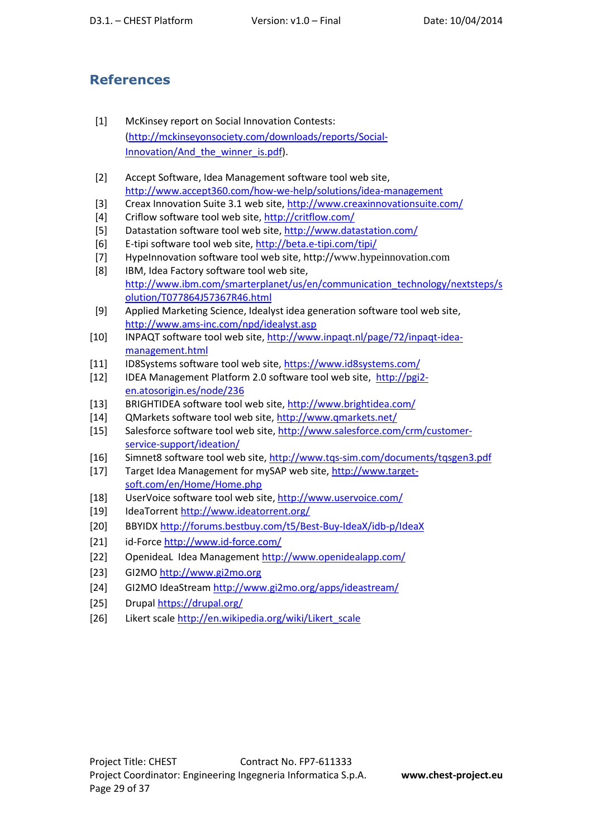## **References**

- [1] McKinsey report on Social Innovation Contests: (http://mckinseyonsociety.com/downloads/reports/Social-Innovation/And the winner is.pdf).
- [2] Accept Software, Idea Management software tool web site, http://www.accept360.com/how-we-help/solutions/idea-management
- [3] Creax Innovation Suite 3.1 web site, http://www.creaxinnovationsuite.com/
- [4] Criflow software tool web site, http://critflow.com/
- [5] Datastation software tool web site, http://www.datastation.com/
- [6] E-tipi software tool web site, http://beta.e-tipi.com/tipi/
- [7] HypeInnovation software tool web site, http://www.hypeinnovation.com
- [8] IBM, Idea Factory software tool web site, http://www.ibm.com/smarterplanet/us/en/communication\_technology/nextsteps/s olution/T077864J57367R46.html
- [9] Applied Marketing Science, Idealyst idea generation software tool web site, http://www.ams-inc.com/npd/idealyst.asp
- [10] INPAQT software tool web site, http://www.inpaqt.nl/page/72/inpaqt-ideamanagement.html
- [11] ID8Systems software tool web site, https://www.id8systems.com/
- [12] IDEA Management Platform 2.0 software tool web site, http://pgi2 en.atosorigin.es/node/236
- [13] BRIGHTIDEA software tool web site, http://www.brightidea.com/
- [14] QMarkets software tool web site, http://www.qmarkets.net/
- [15] Salesforce software tool web site, http://www.salesforce.com/crm/customerservice-support/ideation/
- [16] Simnet8 software tool web site, http://www.tqs-sim.com/documents/tqsgen3.pdf
- [17] Target Idea Management for mySAP web site, http://www.targetsoft.com/en/Home/Home.php
- [18] UserVoice software tool web site, http://www.uservoice.com/
- [19] IdeaTorrent http://www.ideatorrent.org/
- [20] BBYIDX http://forums.bestbuy.com/t5/Best-Buy-IdeaX/idb-p/IdeaX
- [21] id-Force http://www.id-force.com/
- [22] OpenideaL Idea Management http://www.openidealapp.com/
- [23] GI2MO http://www.gi2mo.org
- [24] GI2MO IdeaStream http://www.gi2mo.org/apps/ideastream/
- [25] Drupal https://drupal.org/
- [26] Likert scale http://en.wikipedia.org/wiki/Likert\_scale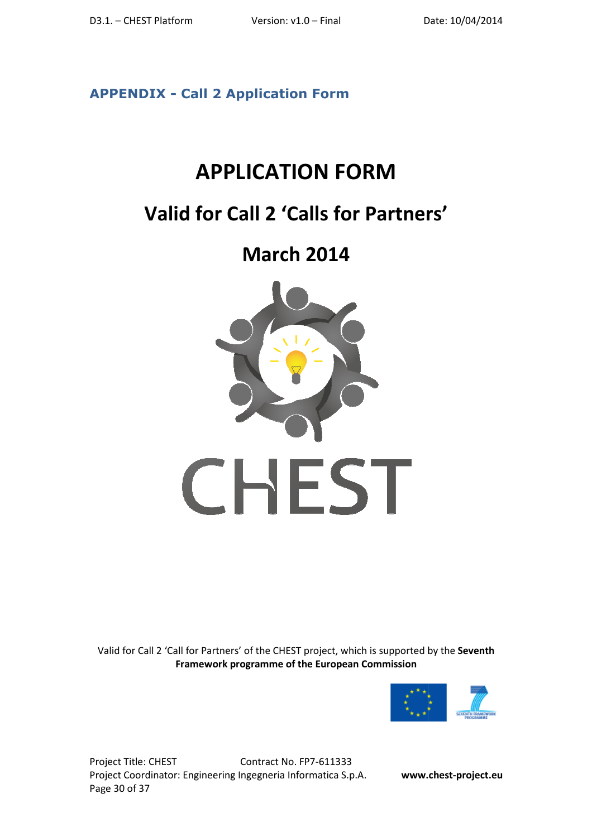**APPENDIX - Call 2 Application Form**

# **APPLICATION FORM**

# **Valid for Call 2 'Calls for Partners'**

**March 2014** 



Valid for Call 2 'Call for Partners' of the CHEST project, which is supported by the **Seventh Framework p programme of the European Commission** 



Project Title: CHEST Project Coordinator: Engineering Ingegneria Informatica S.p.A. **www.c** Page 30 of 37 Contract No. FP7-611333

**www.chest-project.eu**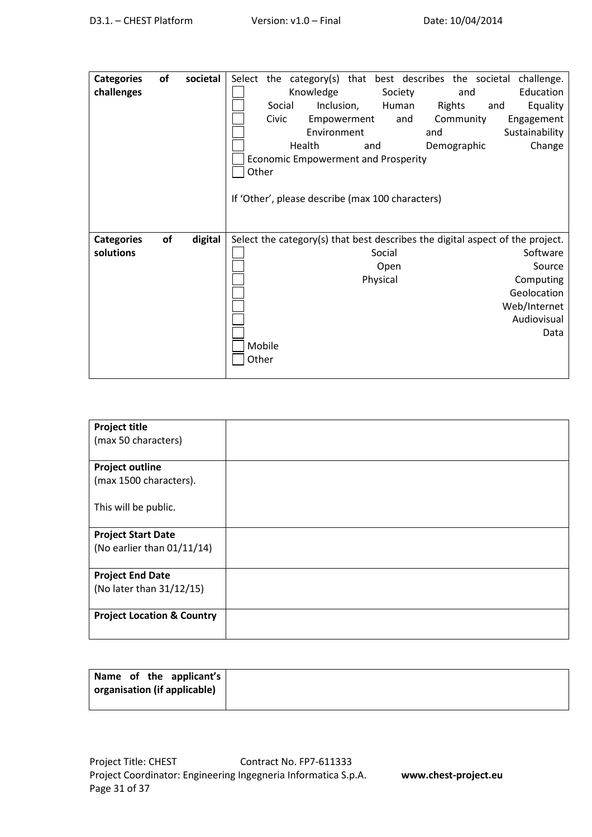| <b>Categories</b> | of | societal |        |        | Select the category(s) that best describes the societal |          |         |             |     | challenge.                                                                    |
|-------------------|----|----------|--------|--------|---------------------------------------------------------|----------|---------|-------------|-----|-------------------------------------------------------------------------------|
| challenges        |    |          |        |        | Knowledge                                               |          | Society |             | and | Education                                                                     |
|                   |    |          |        | Social | Inclusion,                                              |          | Human   | Rights      | and | Equality                                                                      |
|                   |    |          |        | Civic  | Empowerment                                             |          | and     | Community   |     | Engagement                                                                    |
|                   |    |          |        |        | Environment                                             |          |         | and         |     | Sustainability                                                                |
|                   |    |          |        |        | Health                                                  | and      |         | Demographic |     | Change                                                                        |
|                   |    |          |        |        | Economic Empowerment and Prosperity                     |          |         |             |     |                                                                               |
|                   |    |          | Other  |        |                                                         |          |         |             |     |                                                                               |
|                   |    |          |        |        |                                                         |          |         |             |     |                                                                               |
|                   |    |          |        |        | If 'Other', please describe (max 100 characters)        |          |         |             |     |                                                                               |
|                   |    |          |        |        |                                                         |          |         |             |     |                                                                               |
|                   |    |          |        |        |                                                         |          |         |             |     |                                                                               |
| <b>Categories</b> | of | digital  |        |        |                                                         |          |         |             |     | Select the category(s) that best describes the digital aspect of the project. |
| solutions         |    |          |        |        |                                                         | Social   |         |             |     | Software                                                                      |
|                   |    |          |        |        |                                                         | Open     |         |             |     | Source                                                                        |
|                   |    |          |        |        |                                                         | Physical |         |             |     | Computing                                                                     |
|                   |    |          |        |        |                                                         |          |         |             |     | Geolocation                                                                   |
|                   |    |          |        |        |                                                         |          |         |             |     | Web/Internet                                                                  |
|                   |    |          |        |        |                                                         |          |         |             |     | Audiovisual                                                                   |
|                   |    |          |        |        |                                                         |          |         |             |     | Data                                                                          |
|                   |    |          | Mobile |        |                                                         |          |         |             |     |                                                                               |
|                   |    |          | Other  |        |                                                         |          |         |             |     |                                                                               |
|                   |    |          |        |        |                                                         |          |         |             |     |                                                                               |

| <b>Project title</b>                  |  |
|---------------------------------------|--|
| (max 50 characters)                   |  |
|                                       |  |
| <b>Project outline</b>                |  |
| (max 1500 characters).                |  |
|                                       |  |
| This will be public.                  |  |
|                                       |  |
| <b>Project Start Date</b>             |  |
| (No earlier than 01/11/14)            |  |
|                                       |  |
| <b>Project End Date</b>               |  |
| (No later than 31/12/15)              |  |
|                                       |  |
| <b>Project Location &amp; Country</b> |  |
|                                       |  |
|                                       |  |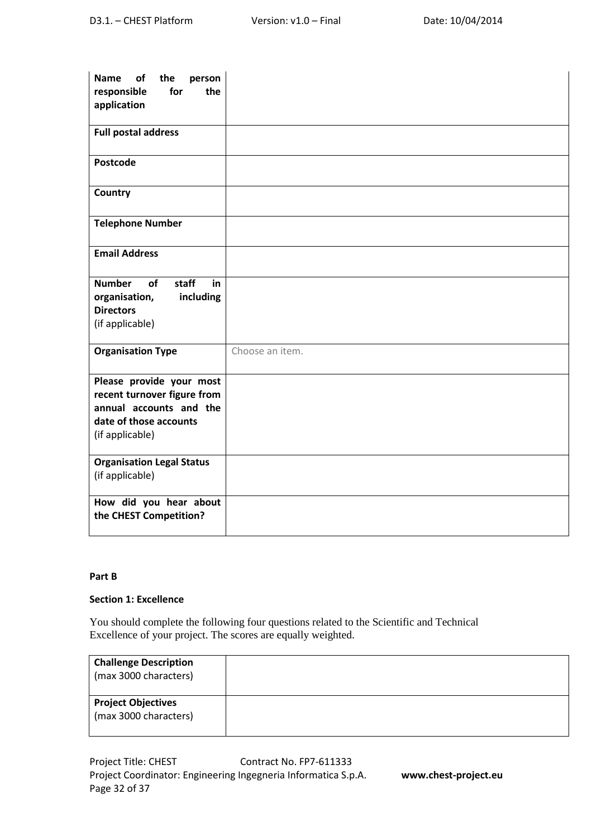| the<br><b>Name</b><br>of<br>person<br>responsible<br>for<br>the<br>application                                                  |                 |
|---------------------------------------------------------------------------------------------------------------------------------|-----------------|
| <b>Full postal address</b>                                                                                                      |                 |
| Postcode                                                                                                                        |                 |
| Country                                                                                                                         |                 |
| <b>Telephone Number</b>                                                                                                         |                 |
| <b>Email Address</b>                                                                                                            |                 |
| of<br>staff<br><b>Number</b><br>in<br>including<br>organisation,<br><b>Directors</b><br>(if applicable)                         |                 |
| <b>Organisation Type</b>                                                                                                        | Choose an item. |
| Please provide your most<br>recent turnover figure from<br>annual accounts and the<br>date of those accounts<br>(if applicable) |                 |
| <b>Organisation Legal Status</b><br>(if applicable)                                                                             |                 |
| How did you hear about<br>the CHEST Competition?                                                                                |                 |

#### **Part B**

#### **Section 1: Excellence**

You should complete the following four questions related to the Scientific and Technical Excellence of your project. The scores are equally weighted.

| <b>Challenge Description</b><br>(max 3000 characters) |  |
|-------------------------------------------------------|--|
| <b>Project Objectives</b><br>(max 3000 characters)    |  |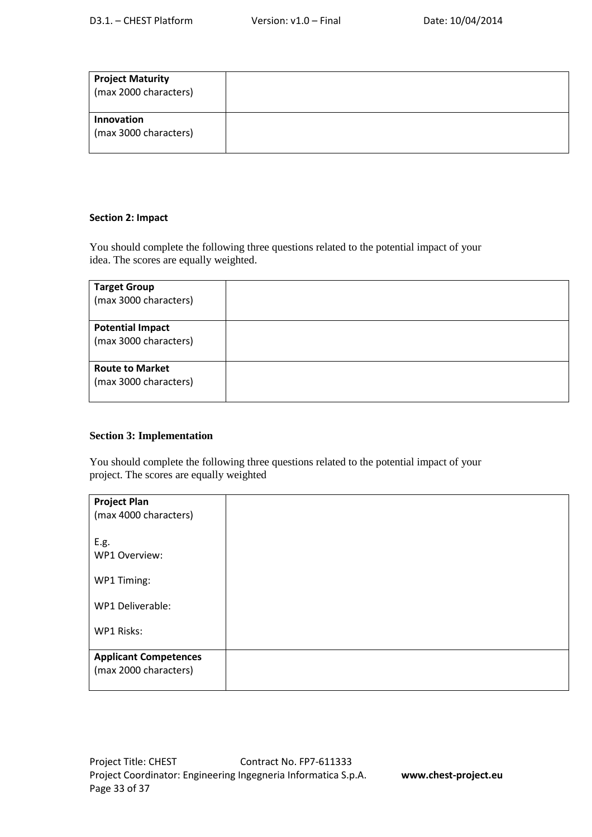| <b>Project Maturity</b><br>(max 2000 characters) |  |
|--------------------------------------------------|--|
| Innovation<br>(max 3000 characters)              |  |

#### **Section 2: Impact**

You should complete the following three questions related to the potential impact of your idea. The scores are equally weighted.

| <b>Target Group</b><br>(max 3000 characters)     |  |
|--------------------------------------------------|--|
| <b>Potential Impact</b><br>(max 3000 characters) |  |
| <b>Route to Market</b><br>(max 3000 characters)  |  |

#### **Section 3: Implementation**

You should complete the following three questions related to the potential impact of your project. The scores are equally weighted

| <b>Project Plan</b><br>(max 4000 characters)          |  |
|-------------------------------------------------------|--|
| E.g.<br>WP1 Overview:                                 |  |
| WP1 Timing:                                           |  |
| WP1 Deliverable:                                      |  |
| WP1 Risks:                                            |  |
| <b>Applicant Competences</b><br>(max 2000 characters) |  |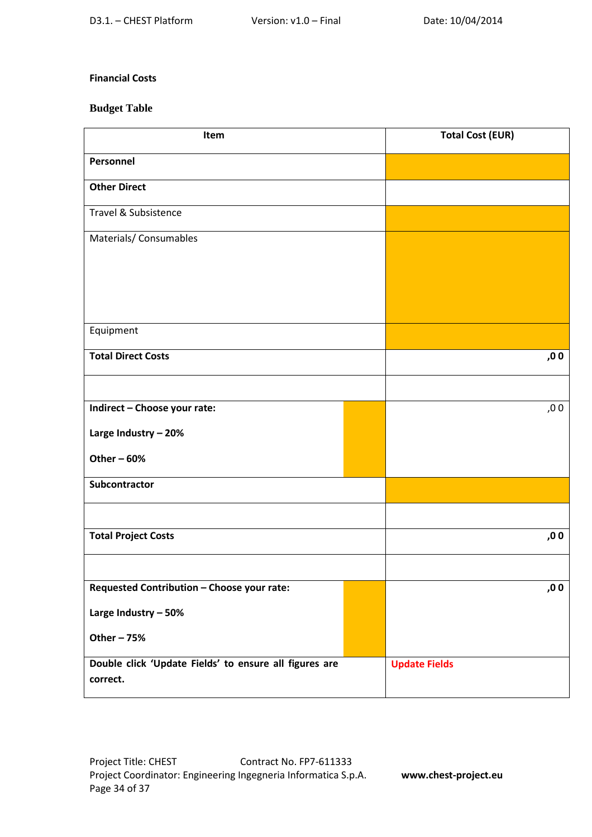#### **Financial Costs**

### **Budget Table**

| Item                                                               |  | <b>Total Cost (EUR)</b> |
|--------------------------------------------------------------------|--|-------------------------|
| Personnel                                                          |  |                         |
| <b>Other Direct</b>                                                |  |                         |
| Travel & Subsistence                                               |  |                         |
| Materials/ Consumables                                             |  |                         |
|                                                                    |  |                         |
|                                                                    |  |                         |
|                                                                    |  |                         |
| Equipment                                                          |  |                         |
| <b>Total Direct Costs</b>                                          |  | ,00                     |
|                                                                    |  |                         |
| Indirect - Choose your rate:                                       |  | ,00                     |
| Large Industry - 20%                                               |  |                         |
| Other $-60%$                                                       |  |                         |
| Subcontractor                                                      |  |                         |
|                                                                    |  |                         |
| <b>Total Project Costs</b>                                         |  | ,00                     |
|                                                                    |  |                         |
| Requested Contribution - Choose your rate:                         |  | ,00                     |
| Large Industry - 50%                                               |  |                         |
| Other - 75%                                                        |  |                         |
| Double click 'Update Fields' to ensure all figures are<br>correct. |  | <b>Update Fields</b>    |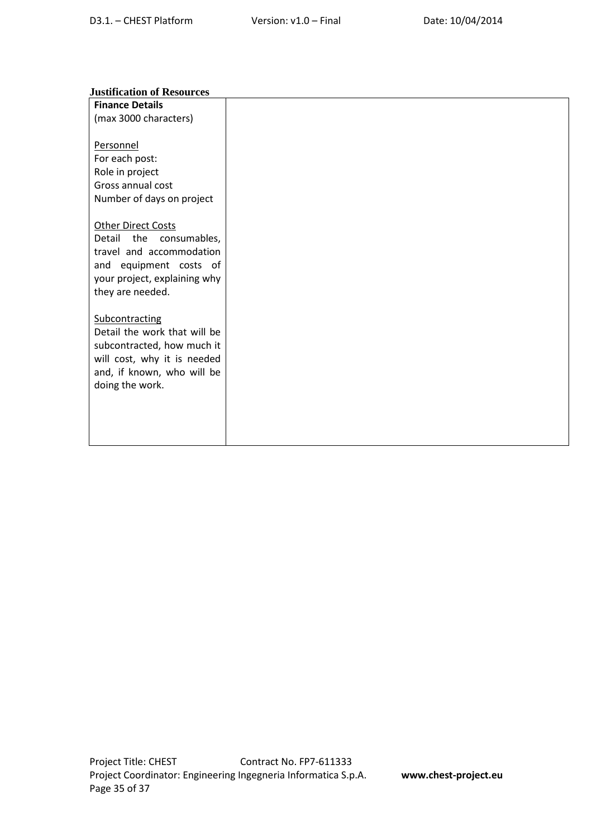#### **Justification of Resources**

| <b>Finance Details</b>        |  |
|-------------------------------|--|
| (max 3000 characters)         |  |
|                               |  |
| Personnel                     |  |
| For each post:                |  |
| Role in project               |  |
| Gross annual cost             |  |
| Number of days on project     |  |
|                               |  |
| <b>Other Direct Costs</b>     |  |
| Detail<br>the<br>consumables, |  |
| travel and accommodation      |  |
| and equipment costs of        |  |
| your project, explaining why  |  |
| they are needed.              |  |
|                               |  |
| Subcontracting                |  |
| Detail the work that will be  |  |
| subcontracted, how much it    |  |
| will cost, why it is needed   |  |
| and, if known, who will be    |  |
| doing the work.               |  |
|                               |  |
|                               |  |
|                               |  |
|                               |  |
|                               |  |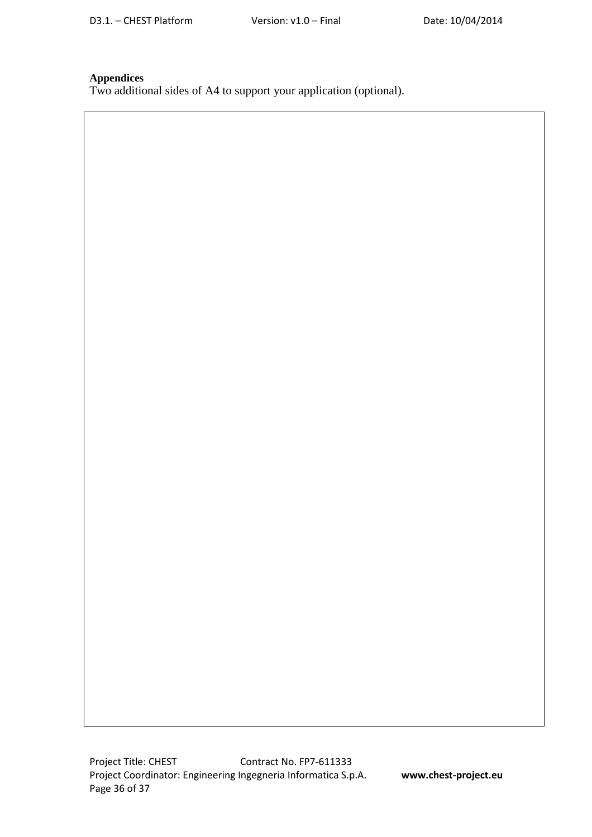#### **Appendices**

Two additional sides of A4 to support your application (optional).